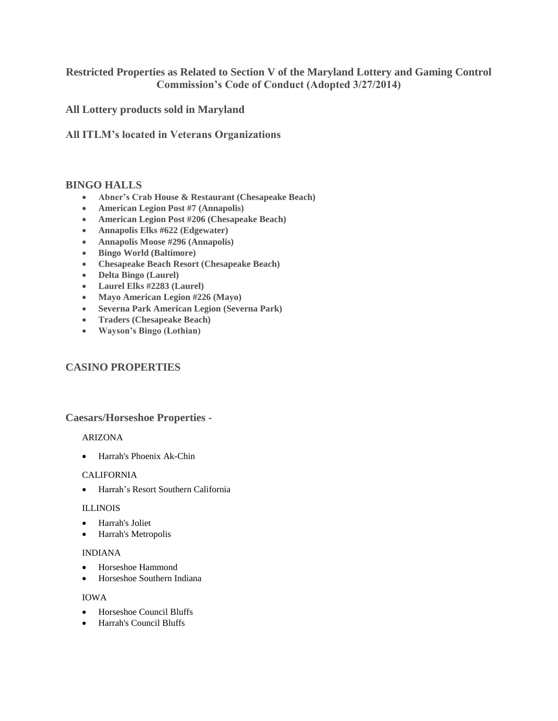## **Restricted Properties as Related to Section V of the Maryland Lottery and Gaming Control Commission's Code of Conduct (Adopted 3/27/2014)**

**All Lottery products sold in Maryland**

**All ITLM's located in Veterans Organizations**

## **BINGO HALLS**

- **Abner's Crab House & Restaurant (Chesapeake Beach)**
- **American Legion Post #7 (Annapolis)**
- **American Legion Post #206 (Chesapeake Beach)**
- **Annapolis Elks #622 (Edgewater)**
- **Annapolis Moose #296 (Annapolis)**
- **Bingo World (Baltimore)**
- **Chesapeake Beach Resort (Chesapeake Beach)**
- **Delta Bingo (Laurel)**
- **Laurel Elks #2283 (Laurel)**
- **Mayo American Legion #226 (Mayo)**
- **Severna Park American Legion (Severna Park)**
- **Traders (Chesapeake Beach)**
- **Wayson's Bingo (Lothian)**

## **CASINO PROPERTIES**

### **Caesars/Horseshoe Properties -**

#### ARIZONA

Harrah's Phoenix [Ak-Chin](http://www.caesars.com/harrahs-ak-chin)

#### CALIFORNIA

Harrah's Resort Southern [California](http://www.caesars.com/harrahs-socal)

#### ILLINOIS

- [Harrah's](http://www.caesars.com/harrahs-joliet) Joliet
- Harrah's [Metropolis](http://www.caesars.com/harrahs-metropolis)

#### INDIANA

- Horseshoe [Hammond](http://www.caesars.com/horseshoe-hammond)
- [Horseshoe](http://www.caesars.com/horseshoe-southern-indiana) Southern Indiana

#### IOWA

- [Horseshoe](http://www.caesars.com/horseshoe-council-bluffs) Council Bluffs
- [Harrah's](http://www.caesars.com/harrahs-council-bluffs) Council Bluffs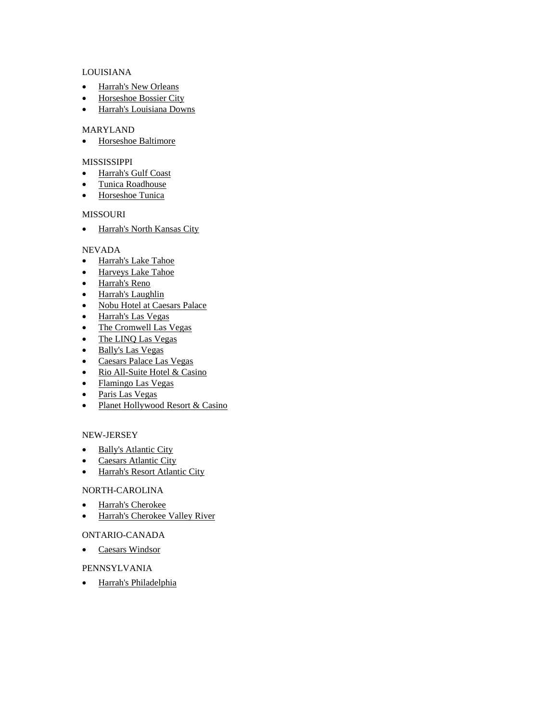### LOUISIANA

- [Harrah's](http://www.caesars.com/harrahs-new-orleans) New Orleans
- [Horseshoe](http://www.caesars.com/horseshoe-bossier-city) Bossier City
- Harrah's [Louisiana](http://www.caesars.com/harrahs-louisiana-downs) Downs

### MARYLAND

[Horseshoe](http://www.caesars.com/horseshoe-baltimore) Baltimore

### MISSISSIPPI

- [Harrah's](http://www.caesars.com/harrahs-gulf-coast) Gulf Coast
- Tunica [Roadhouse](http://www.caesars.com/tunica-roadhouse)
- [Horseshoe](http://www.caesars.com/horseshoe-tunica) Tunica

### MISSOURI

• [Harrah's](https://www.caesars.com/harrahs-kansas-city) North Kansas City

### NEVADA

- [Harrah's](http://www.caesars.com/harrahs-tahoe) Lake Tahoe
- [Harveys](http://www.caesars.com/harveys-tahoe) Lake Tahoe
- [Harrah's](http://www.caesars.com/harrahs-reno) Reno
- Harrah's [Laughlin](http://www.caesars.com/harrahs-laughlin)
- Nobu Hotel at [Caesars](http://www.caesars.com/nobu-caesars-palace/) Palace
- [Harrah's](http://www.caesars.com/harrahs-las-vegas/) Las Vegas
- The [Cromwell](http://www.caesars.com/cromwell/) Las Vegas
- The LINQ Las [Vegas](http://www.caesars.com/linq/)
- [Bally's](http://www.caesars.com/ballys-las-vegas/?_ga=1.34753313.1007320304.1488228797) Las Vegas
- [Caesars](http://www.caesars.com/caesars-palace/) Palace Las Vegas
- Rio [All-Suite](http://www.caesars.com/rio-las-vegas) Hotel & Casino
- [Flamingo](http://www.caesars.com/flamingo-las-vegas) Las Vegas
- Paris Las [Vegas](http://www.caesars.com/paris-las-vegas)
- Planet [Hollywood](http://www.caesars.com/planet-hollywood) Resort & Casino

#### NEW-JERSEY

- Bally's [Atlantic](http://www.caesars.com/ballys-ac) City
- Caesars [Atlantic](http://www.caesars.com/caesars-ac) City
- [Harrah's](http://www.caesars.com/harrahs-ac) Resort Atlantic City

#### NORTH-CAROLINA

- Harrah's [Cherokee](https://www.caesars.com/harrahs-cherokee)
- Harrah's [Cherokee](https://www.caesars.com/harrahs-cherokee-valley-river?_ga=1.34759713.1007320304.1488228797) Valley River

#### ONTARIO-CANADA

Caesars [Windsor](http://www.caesars.com/caesars-windsor)

### PENNSYLVANIA

Harrah's [Philadelphia](http://www.caesars.com/harrahs-philly)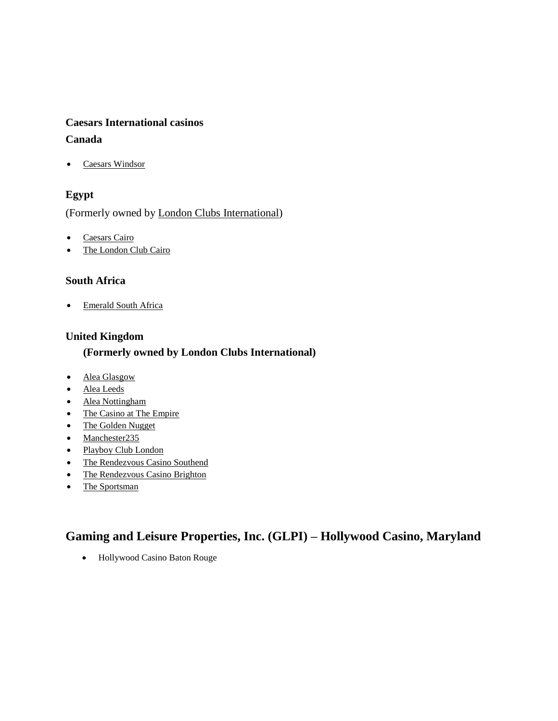# **Caesars International casinos Canada**

• [Caesars Windsor](https://en.wikipedia.org/wiki/Caesars_Windsor)

## **Egypt**

(Formerly owned by [London Clubs International\)](https://en.wikipedia.org/wiki/London_Clubs_International)

- [Caesars Cairo](http://www.london-clubs-cairo.com/caesars-cairo/)
- [The London Club Cairo](http://www.london-clubs-cairo.com/london-club-cairo/)

## **South Africa**

• [Emerald South Africa](http://www.emeraldcasino.co.za/)

## **United Kingdom**

## **(Formerly owned by London Clubs International)**

- [Alea Glasgow](http://aleacasinos.com/alea/glasgow/home/)
- [Alea Leeds](http://aleacasinos.com/alea/leeds/home/)
- [Alea Nottingham](http://aleacasinos.com/alea/nottingham/home/)
- [The Casino at The Empire](http://www.thecasinolsq.com/home/)
- [The Golden Nugget](http://www.goldennuggetlondon.com/home/)
- [Manchester235](http://www.manchester235.com/home/)
- [Playboy Club London](http://www.playboyclublondon.com/)
- [The Rendezvous Casino Southend](http://rendezvouscasino.com/southend/home/)
- [The Rendezvous Casino Brighton](http://www.rendezvouscasino.com/brighton/)
- [The Sportsman](http://www.thesportsmancasino.com/home/)

# **Gaming and Leisure Properties, Inc. (GLPI) – Hollywood Casino, Maryland**

Hollywood Casino Baton Rouge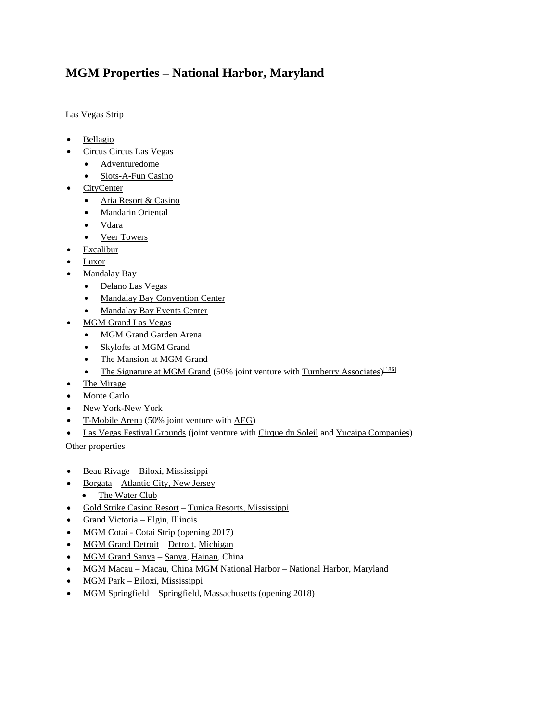# **MGM Properties – National Harbor, Maryland**

Las Vegas Strip

- [Bellagio](https://en.wikipedia.org/wiki/Bellagio_(resort))
- [Circus Circus Las Vegas](https://en.wikipedia.org/wiki/Circus_Circus_Las_Vegas)
	- [Adventuredome](https://en.wikipedia.org/wiki/Adventuredome)
	- [Slots-A-Fun Casino](https://en.wikipedia.org/wiki/Slots-A-Fun_Casino)
- [CityCenter](https://en.wikipedia.org/wiki/CityCenter)
	- [Aria Resort & Casino](https://en.wikipedia.org/wiki/Aria_Resort_%26_Casino)
	- [Mandarin Oriental](https://en.wikipedia.org/wiki/Mandarin_Oriental,_Las_Vegas)
	- <u>[Vdara](https://en.wikipedia.org/wiki/Vdara)</u>
	- [Veer Towers](https://en.wikipedia.org/wiki/Veer_Towers)
- [Excalibur](https://en.wikipedia.org/wiki/Excalibur_Hotel_and_Casino)
- [Luxor](https://en.wikipedia.org/wiki/Luxor_Las_Vegas)
- [Mandalay Bay](https://en.wikipedia.org/wiki/Mandalay_Bay)
	- [Delano Las Vegas](https://en.wikipedia.org/wiki/Delano_Las_Vegas)
	- [Mandalay Bay Convention Center](https://en.wikipedia.org/wiki/Mandalay_Bay_Convention_Center)
	- [Mandalay Bay Events Center](https://en.wikipedia.org/wiki/Mandalay_Bay_Events_Center)
- [MGM Grand Las Vegas](https://en.wikipedia.org/wiki/MGM_Grand_Las_Vegas)
	- [MGM Grand Garden Arena](https://en.wikipedia.org/wiki/MGM_Grand_Garden_Arena)
	- Skylofts at MGM Grand
	- The Mansion at MGM Grand
	- [The Signature at MGM Grand](https://en.wikipedia.org/wiki/The_Signature_at_MGM_Grand) (50% joint venture with [Turnberry Associates\)](https://en.wikipedia.org/wiki/Turnberry_Associates)<sup>[\[186\]](https://en.wikipedia.org/wiki/MGM_Resorts_International#cite_note-186)</sup>
- [The Mirage](https://en.wikipedia.org/wiki/The_Mirage)
- [Monte Carlo](https://en.wikipedia.org/wiki/Monte_Carlo_Resort_and_Casino)
- [New York-New York](https://en.wikipedia.org/wiki/New_York-New_York_Hotel_and_Casino)
- [T-Mobile Arena](https://en.wikipedia.org/wiki/T-Mobile_Arena) (50% joint venture with  $\overline{\text{AEG}}$ )
- [Las Vegas Festival Grounds](https://en.wikipedia.org/wiki/Las_Vegas_Festival_Grounds) (joint venture with [Cirque du Soleil](https://en.wikipedia.org/wiki/Cirque_du_Soleil) and [Yucaipa Companies\)](https://en.wikipedia.org/wiki/Yucaipa_Companies)

Other properties

- $\bullet$  [Beau Rivage](https://en.wikipedia.org/wiki/Beau_Rivage_(Mississippi)) [Biloxi, Mississippi](https://en.wikipedia.org/wiki/Biloxi,_Mississippi)
- $\bullet$  [Borgata](https://en.wikipedia.org/wiki/Borgata) [Atlantic City, New Jersey](https://en.wikipedia.org/wiki/Atlantic_City,_New_Jersey)
	- [The Water Club](https://en.wikipedia.org/wiki/The_Water_Club)
- [Gold Strike Casino Resort](https://en.wikipedia.org/wiki/Gold_Strike_Casino_Resort) [Tunica Resorts, Mississippi](https://en.wikipedia.org/wiki/Tunica_Resorts,_Mississippi)
- $\bullet$  [Grand Victoria](https://en.wikipedia.org/wiki/Grand_Victoria_Casino_Elgin) [Elgin, Illinois](https://en.wikipedia.org/wiki/Elgin,_Illinois)
- [MGM Cotai](https://en.wikipedia.org/w/index.php?title=MGM_Cotai&action=edit&redlink=1) [Cotai Strip](https://en.wikipedia.org/wiki/Cotai_Strip) (opening 2017)
- [MGM Grand Detroit](https://en.wikipedia.org/wiki/MGM_Grand_Detroit) [Detroit,](https://en.wikipedia.org/wiki/Detroit) [Michigan](https://en.wikipedia.org/wiki/Michigan)
- [MGM Grand Sanya](https://en.wikipedia.org/w/index.php?title=MGM_Grand_Sanya&action=edit&redlink=1) [Sanya,](https://en.wikipedia.org/wiki/Sanya) [Hainan,](https://en.wikipedia.org/wiki/Hainan) China
- [MGM Macau](https://en.wikipedia.org/wiki/MGM_Macau) [Macau,](https://en.wikipedia.org/wiki/Macau) China [MGM National Harbor](https://en.wikipedia.org/wiki/MGM_National_Harbor) [National Harbor, Maryland](https://en.wikipedia.org/wiki/National_Harbor,_Maryland)
- [MGM Park](https://en.wikipedia.org/wiki/MGM_Park) [Biloxi, Mississippi](https://en.wikipedia.org/wiki/Biloxi,_Mississippi)
- [MGM Springfield](https://en.wikipedia.org/wiki/MGM_Springfield) [Springfield, Massachusetts](https://en.wikipedia.org/wiki/Springfield,_Massachusetts) (opening 2018)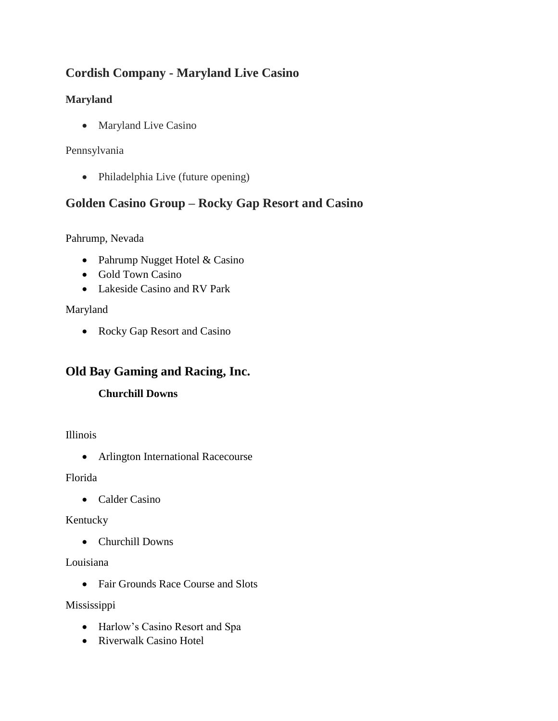# **Cordish Company - Maryland Live Casino**

# **Maryland**

• Maryland Live Casino

## Pennsylvania

• Philadelphia Live (future opening)

# **Golden Casino Group – Rocky Gap Resort and Casino**

Pahrump, Nevada

- Pahrump Nugget Hotel & Casino
- Gold Town Casino
- Lakeside Casino and RV Park

## Maryland

• Rocky Gap Resort and Casino

# **Old Bay Gaming and Racing, Inc.**

# **Churchill Downs**

## Illinois

Arlington International Racecourse

Florida

• Calder Casino

## Kentucky

• Churchill Downs

## Louisiana

• Fair Grounds Race Course and Slots

Mississippi

- Harlow's Casino Resort and Spa
- Riverwalk Casino Hotel